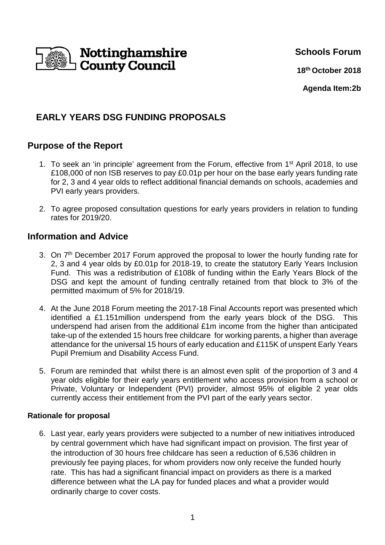

**Schools Forum**

**18th October 2018**

**Agenda Item:2b**

# **EARLY YEARS DSG FUNDING PROPOSALS**

## **Purpose of the Report**

- 1. To seek an 'in principle' agreement from the Forum, effective from 1st April 2018, to use £108,000 of non ISB reserves to pay £0.01p per hour on the base early years funding rate for 2, 3 and 4 year olds to reflect additional financial demands on schools, academies and PVI early years providers.
- 2. To agree proposed consultation questions for early years providers in relation to funding rates for 2019/20.

### **Information and Advice**

- 3. On 7<sup>th</sup> December 2017 Forum approved the proposal to lower the hourly funding rate for 2, 3 and 4 year olds by £0.01p for 2018-19, to create the statutory Early Years Inclusion Fund. This was a redistribution of £108k of funding within the Early Years Block of the DSG and kept the amount of funding centrally retained from that block to 3% of the permitted maximum of 5% for 2018/19.
- 4. At the June 2018 Forum meeting the 2017-18 Final Accounts report was presented which identified a £1.151million underspend from the early years block of the DSG. This underspend had arisen from the additional £1m income from the higher than anticipated take-up of the extended 15 hours free childcare for working parents, a higher than average attendance for the universal 15 hours of early education and £115K of unspent Early Years Pupil Premium and Disability Access Fund.
- 5. Forum are reminded that whilst there is an almost even split of the proportion of 3 and 4 year olds eligible for their early years entitlement who access provision from a school or Private, Voluntary or Independent (PVI) provider, almost 95% of eligible 2 year olds currently access their entitlement from the PVI part of the early years sector.

#### **Rationale for proposal**

6. Last year, early years providers were subjected to a number of new initiatives introduced by central government which have had significant impact on provision. The first year of the introduction of 30 hours free childcare has seen a reduction of 6,536 children in previously fee paying places, for whom providers now only receive the funded hourly rate. This has had a significant financial impact on providers as there is a marked difference between what the LA pay for funded places and what a provider would ordinarily charge to cover costs.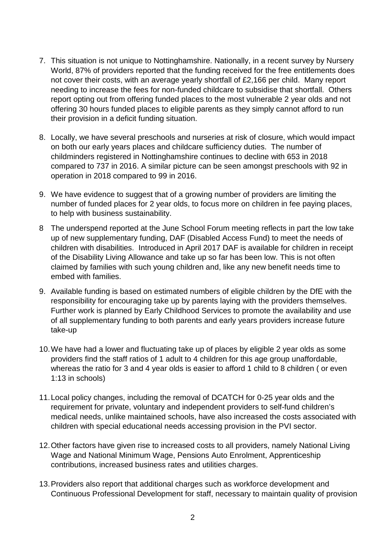- 7. This situation is not unique to Nottinghamshire. Nationally, in a recent survey by Nursery World, 87% of providers reported that the funding received for the free entitlements does not cover their costs, with an average yearly shortfall of £2,166 per child. Many report needing to increase the fees for non-funded childcare to subsidise that shortfall. Others report opting out from offering funded places to the most vulnerable 2 year olds and not offering 30 hours funded places to eligible parents as they simply cannot afford to run their provision in a deficit funding situation.
- 8. Locally, we have several preschools and nurseries at risk of closure, which would impact on both our early years places and childcare sufficiency duties. The number of childminders registered in Nottinghamshire continues to decline with 653 in 2018 compared to 737 in 2016. A similar picture can be seen amongst preschools with 92 in operation in 2018 compared to 99 in 2016.
- 9. We have evidence to suggest that of a growing number of providers are limiting the number of funded places for 2 year olds, to focus more on children in fee paying places, to help with business sustainability.
- 8 The underspend reported at the June School Forum meeting reflects in part the low take up of new supplementary funding, DAF (Disabled Access Fund) to meet the needs of children with disabilities. Introduced in April 2017 DAF is available for children in receipt of the Disability Living Allowance and take up so far has been low. This is not often claimed by families with such young children and, like any new benefit needs time to embed with families.
- 9. Available funding is based on estimated numbers of eligible children by the DfE with the responsibility for encouraging take up by parents laying with the providers themselves. Further work is planned by Early Childhood Services to promote the availability and use of all supplementary funding to both parents and early years providers increase future take-up
- 10. We have had a lower and fluctuating take up of places by eligible 2 year olds as some providers find the staff ratios of 1 adult to 4 children for this age group unaffordable, whereas the ratio for 3 and 4 year olds is easier to afford 1 child to 8 children ( or even 1:13 in schools)
- 11. Local policy changes, including the removal of DCATCH for 0-25 year olds and the requirement for private, voluntary and independent providers to self-fund children's medical needs, unlike maintained schools, have also increased the costs associated with children with special educational needs accessing provision in the PVI sector.
- 12. Other factors have given rise to increased costs to all providers, namely National Living Wage and National Minimum Wage, Pensions Auto Enrolment, Apprenticeship contributions, increased business rates and utilities charges.
- 13. Providers also report that additional charges such as workforce development and Continuous Professional Development for staff, necessary to maintain quality of provision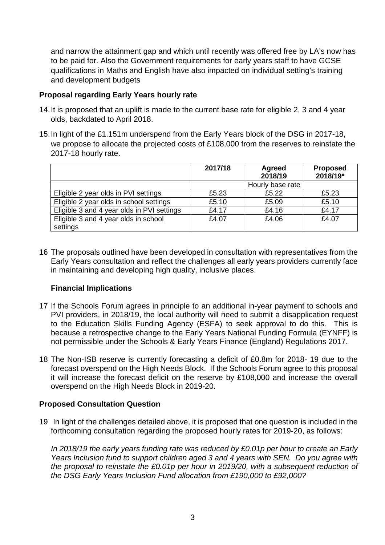and narrow the attainment gap and which until recently was offered free by LA's now has to be paid for. Also the Government requirements for early years staff to have GCSE qualifications in Maths and English have also impacted on individual setting's training and development budgets

#### **Proposal regarding Early Years hourly rate**

- 14. It is proposed that an uplift is made to the current base rate for eligible 2, 3 and 4 year olds, backdated to April 2018.
- 15. In light of the £1.151m underspend from the Early Years block of the DSG in 2017-18, we propose to allocate the projected costs of £108,000 from the reserves to reinstate the 2017-18 hourly rate.

|                                            | 2017/18          | Agreed<br>2018/19 | <b>Proposed</b><br>2018/19* |
|--------------------------------------------|------------------|-------------------|-----------------------------|
|                                            | Hourly base rate |                   |                             |
| Eligible 2 year olds in PVI settings       | £5.23            | £5.22             | £5.23                       |
| Eligible 2 year olds in school settings    | £5.10            | £5.09             | £5.10                       |
| Eligible 3 and 4 year olds in PVI settings | £4.17            | £4.16             | £4.17                       |
| Eligible 3 and 4 year olds in school       | £4.07            | £4.06             | £4.07                       |
| settings                                   |                  |                   |                             |

16 The proposals outlined have been developed in consultation with representatives from the Early Years consultation and reflect the challenges all early years providers currently face in maintaining and developing high quality, inclusive places.

#### **Financial Implications**

- 17 If the Schools Forum agrees in principle to an additional in-year payment to schools and PVI providers, in 2018/19, the local authority will need to submit a disapplication request to the Education Skills Funding Agency (ESFA) to seek approval to do this. This is because a retrospective change to the Early Years National Funding Formula (EYNFF) is not permissible under the Schools & Early Years Finance (England) Regulations 2017.
- 18 The Non-ISB reserve is currently forecasting a deficit of £0.8m for 2018- 19 due to the forecast overspend on the High Needs Block. If the Schools Forum agree to this proposal it will increase the forecast deficit on the reserve by £108,000 and increase the overall overspend on the High Needs Block in 2019-20.

#### **Proposed Consultation Question**

19 In light of the challenges detailed above, it is proposed that one question is included in the forthcoming consultation regarding the proposed hourly rates for 2019-20, as follows:

In 2018/19 the early years funding rate was reduced by £0.01p per hour to create an Early Years Inclusion fund to support children aged 3 and 4 years with SEN. Do you agree with the proposal to reinstate the £0.01p per hour in 2019/20, with a subsequent reduction of the DSG Early Years Inclusion Fund allocation from £190,000 to £92,000?